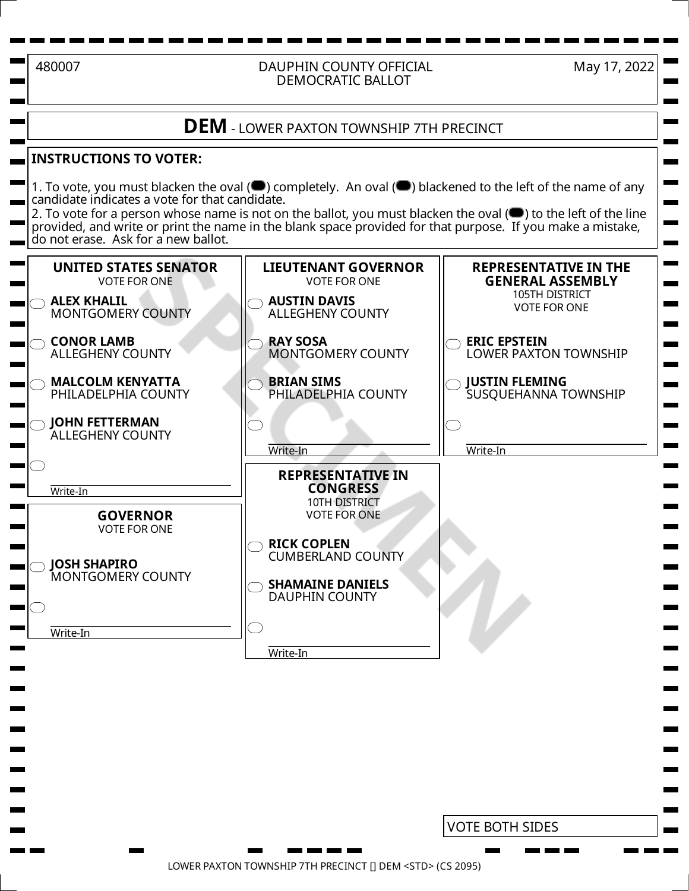## 480007 DAUPHIN COUNTY OFFICIAL DEMOCRATIC BALLOT

May 17, 2022

## **DEM** - LOWER PAXTON TOWNSHIP 7TH PRECINCT

## **INSTRUCTIONS TO VOTER:**

1. To vote, you must blacken the oval  $(\blacksquare)$  completely. An oval  $(\blacksquare)$  blackened to the left of the name of any candidate indicates a vote for that candidate.

2. To vote for a person whose name is not on the ballot, you must blacken the oval  $($ **)** to the left of the line provided, and write or print the name in the blank space provided for that purpose. If you make a mistake, do not erase. Ask for a new ballot.